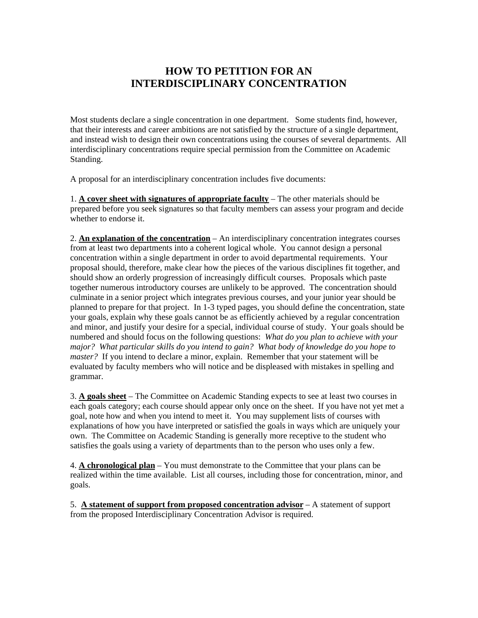## **HOW TO PETITION FOR AN INTERDISCIPLINARY CONCENTRATION**

Most students declare a single concentration in one department. Some students find, however, that their interests and career ambitions are not satisfied by the structure of a single department, and instead wish to design their own concentrations using the courses of several departments. All interdisciplinary concentrations require special permission from the Committee on Academic Standing.

A proposal for an interdisciplinary concentration includes five documents:

1. **A cover sheet with signatures of appropriate faculty** – The other materials should be prepared before you seek signatures so that faculty members can assess your program and decide whether to endorse it.

2. **An explanation of the concentration** – An interdisciplinary concentration integrates courses from at least two departments into a coherent logical whole. You cannot design a personal concentration within a single department in order to avoid departmental requirements. Your proposal should, therefore, make clear how the pieces of the various disciplines fit together, and should show an orderly progression of increasingly difficult courses. Proposals which paste together numerous introductory courses are unlikely to be approved. The concentration should culminate in a senior project which integrates previous courses, and your junior year should be planned to prepare for that project. In 1-3 typed pages, you should define the concentration, state your goals, explain why these goals cannot be as efficiently achieved by a regular concentration and minor, and justify your desire for a special, individual course of study. Your goals should be numbered and should focus on the following questions: *What do you plan to achieve with your major? What particular skills do you intend to gain? What body of knowledge do you hope to master?* If you intend to declare a minor, explain. Remember that your statement will be evaluated by faculty members who will notice and be displeased with mistakes in spelling and grammar.

3. **A goals sheet** – The Committee on Academic Standing expects to see at least two courses in each goals category; each course should appear only once on the sheet. If you have not yet met a goal, note how and when you intend to meet it. You may supplement lists of courses with explanations of how you have interpreted or satisfied the goals in ways which are uniquely your own. The Committee on Academic Standing is generally more receptive to the student who satisfies the goals using a variety of departments than to the person who uses only a few.

4. **A chronological plan** – You must demonstrate to the Committee that your plans can be realized within the time available. List all courses, including those for concentration, minor, and goals.

5. **A statement of support from proposed concentration advisor** – A statement of support from the proposed Interdisciplinary Concentration Advisor is required.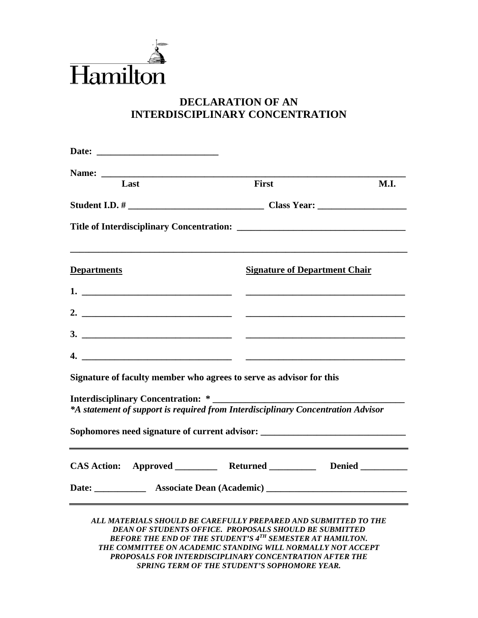

# **DECLARATION OF AN INTERDISCIPLINARY CONCENTRATION**

| Last                                                                             | First                                                                                                                                                                                                                                                                                                                                                                        | <b>M.I.</b> |
|----------------------------------------------------------------------------------|------------------------------------------------------------------------------------------------------------------------------------------------------------------------------------------------------------------------------------------------------------------------------------------------------------------------------------------------------------------------------|-------------|
|                                                                                  |                                                                                                                                                                                                                                                                                                                                                                              |             |
|                                                                                  |                                                                                                                                                                                                                                                                                                                                                                              |             |
| <b>Departments</b>                                                               | <b>Signature of Department Chair</b>                                                                                                                                                                                                                                                                                                                                         |             |
| $1.$ $\overline{\phantom{a}}$                                                    |                                                                                                                                                                                                                                                                                                                                                                              |             |
|                                                                                  |                                                                                                                                                                                                                                                                                                                                                                              |             |
| $\overline{\mathbf{3.}}$ $\overline{\phantom{1}}$                                |                                                                                                                                                                                                                                                                                                                                                                              |             |
|                                                                                  |                                                                                                                                                                                                                                                                                                                                                                              |             |
| Signature of faculty member who agrees to serve as advisor for this              |                                                                                                                                                                                                                                                                                                                                                                              |             |
| *A statement of support is required from Interdisciplinary Concentration Advisor |                                                                                                                                                                                                                                                                                                                                                                              |             |
| Sophomores need signature of current advisor: __________________________________ |                                                                                                                                                                                                                                                                                                                                                                              |             |
| CAS Action: Approved ___________ Returned ___________ Denied _________           |                                                                                                                                                                                                                                                                                                                                                                              |             |
|                                                                                  |                                                                                                                                                                                                                                                                                                                                                                              |             |
|                                                                                  | ALL MATERIALS SHOULD BE CAREFULLY PREPARED AND SUBMITTED TO THE<br>DEAN OF STUDENTS OFFICE. PROPOSALS SHOULD BE SUBMITTED<br>BEFORE THE END OF THE STUDENT'S 4 <sup>TH</sup> SEMESTER AT HAMILTON.<br>THE COMMITTEE ON ACADEMIC STANDING WILL NORMALLY NOT ACCEPT<br>PROPOSALS FOR INTERDISCIPLINARY CONCENTRATION AFTER THE<br>SPRING TERM OF THE STUDENT'S SOPHOMORE YEAR. |             |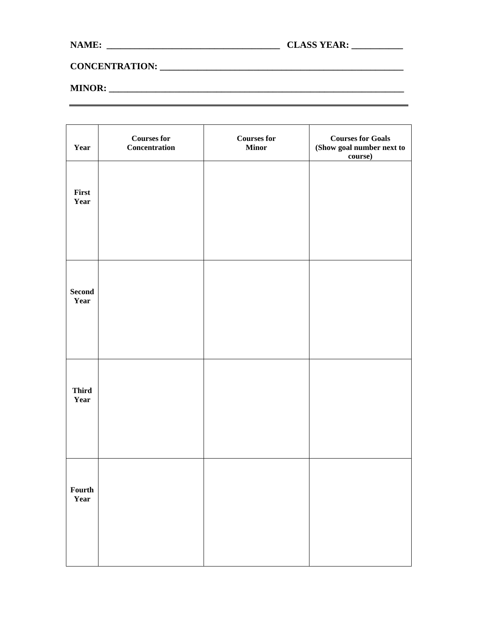## **CONCENTRATION: \_\_\_\_\_\_\_\_\_\_\_\_\_\_\_\_\_\_\_\_\_\_\_\_\_\_\_\_\_\_\_\_\_\_\_\_\_\_\_\_\_\_\_\_\_\_\_\_\_\_\_\_**

#### **MINOR: \_\_\_\_\_\_\_\_\_\_\_\_\_\_\_\_\_\_\_\_\_\_\_\_\_\_\_\_\_\_\_\_\_\_\_\_\_\_\_\_\_\_\_\_\_\_\_\_\_\_\_\_\_\_\_\_\_\_\_\_\_\_\_**

| Year                  | <b>Courses for</b><br>Concentration | <b>Courses for</b><br><b>Minor</b> | <b>Courses for Goals</b><br>(Show goal number next to<br>course) |
|-----------------------|-------------------------------------|------------------------------------|------------------------------------------------------------------|
| First<br>Year         |                                     |                                    |                                                                  |
|                       |                                     |                                    |                                                                  |
| <b>Second</b><br>Year |                                     |                                    |                                                                  |
|                       |                                     |                                    |                                                                  |
| <b>Third</b><br>Year  |                                     |                                    |                                                                  |
| Fourth<br>Year        |                                     |                                    |                                                                  |
|                       |                                     |                                    |                                                                  |